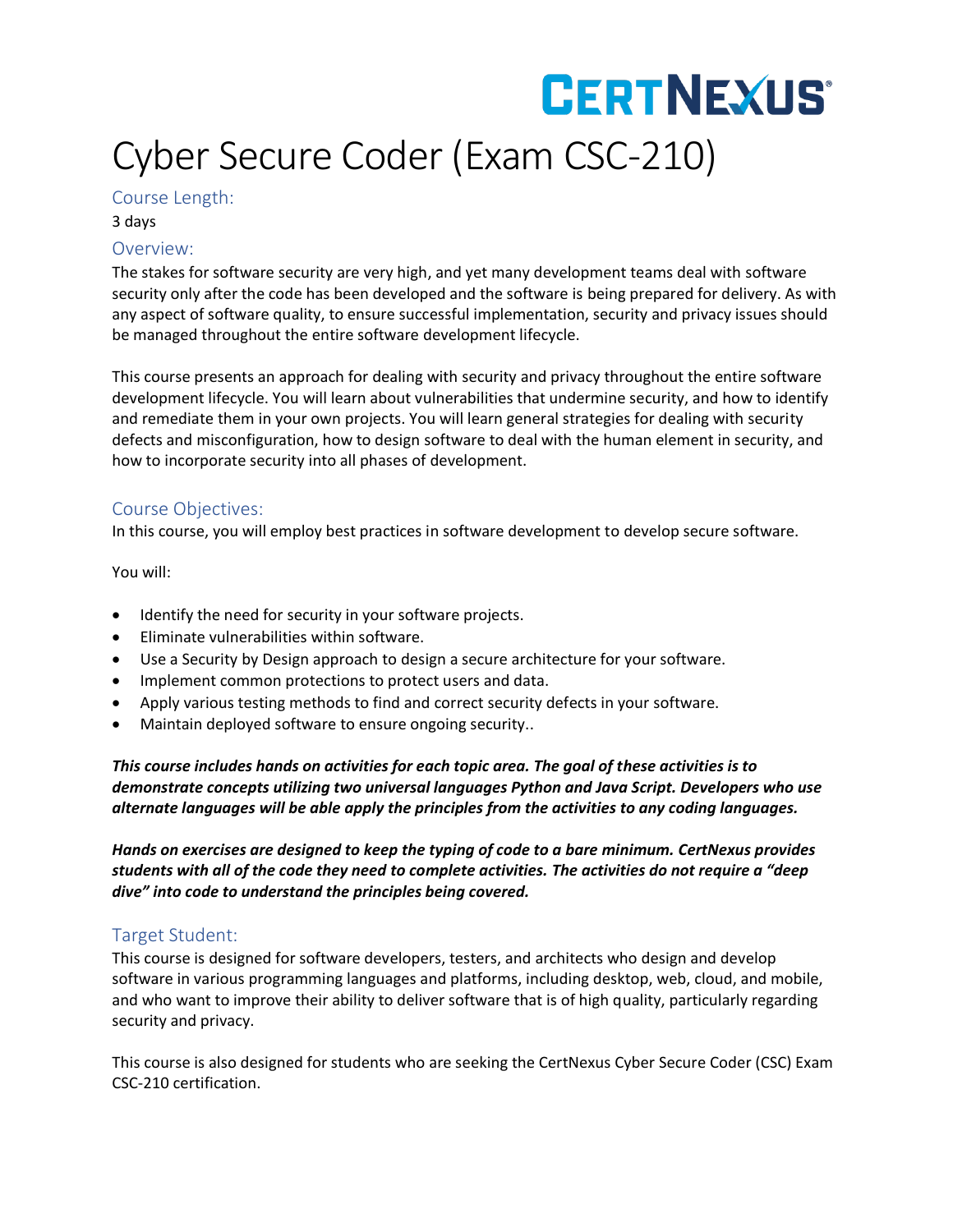## **CERTNEXUS** Cyber Secure Coder (Exam CSC-210)

#### Course Length:

3 days

#### Overview:

The stakes for software security are very high, and yet many development teams deal with software security only after the code has been developed and the software is being prepared for delivery. As with any aspect of software quality, to ensure successful implementation, security and privacy issues should be managed throughout the entire software development lifecycle.

This course presents an approach for dealing with security and privacy throughout the entire software development lifecycle. You will learn about vulnerabilities that undermine security, and how to identify and remediate them in your own projects. You will learn general strategies for dealing with security defects and misconfiguration, how to design software to deal with the human element in security, and how to incorporate security into all phases of development.

#### Course Objectives:

In this course, you will employ best practices in software development to develop secure software.

You will:

- Identify the need for security in your software projects.
- Eliminate vulnerabilities within software.
- Use a Security by Design approach to design a secure architecture for your software.
- Implement common protections to protect users and data.
- Apply various testing methods to find and correct security defects in your software.
- Maintain deployed software to ensure ongoing security..

*This course includes hands on activities for each topic area. The goal of these activities is to demonstrate concepts utilizing two universal languages Python and Java Script. Developers who use alternate languages will be able apply the principles from the activities to any coding languages.* 

*Hands on exercises are designed to keep the typing of code to a bare minimum. CertNexus provides students with all of the code they need to complete activities. The activities do not require a "deep dive" into code to understand the principles being covered.*

#### Target Student:

This course is designed for software developers, testers, and architects who design and develop software in various programming languages and platforms, including desktop, web, cloud, and mobile, and who want to improve their ability to deliver software that is of high quality, particularly regarding security and privacy.

This course is also designed for students who are seeking the CertNexus Cyber Secure Coder (CSC) Exam CSC-210 certification.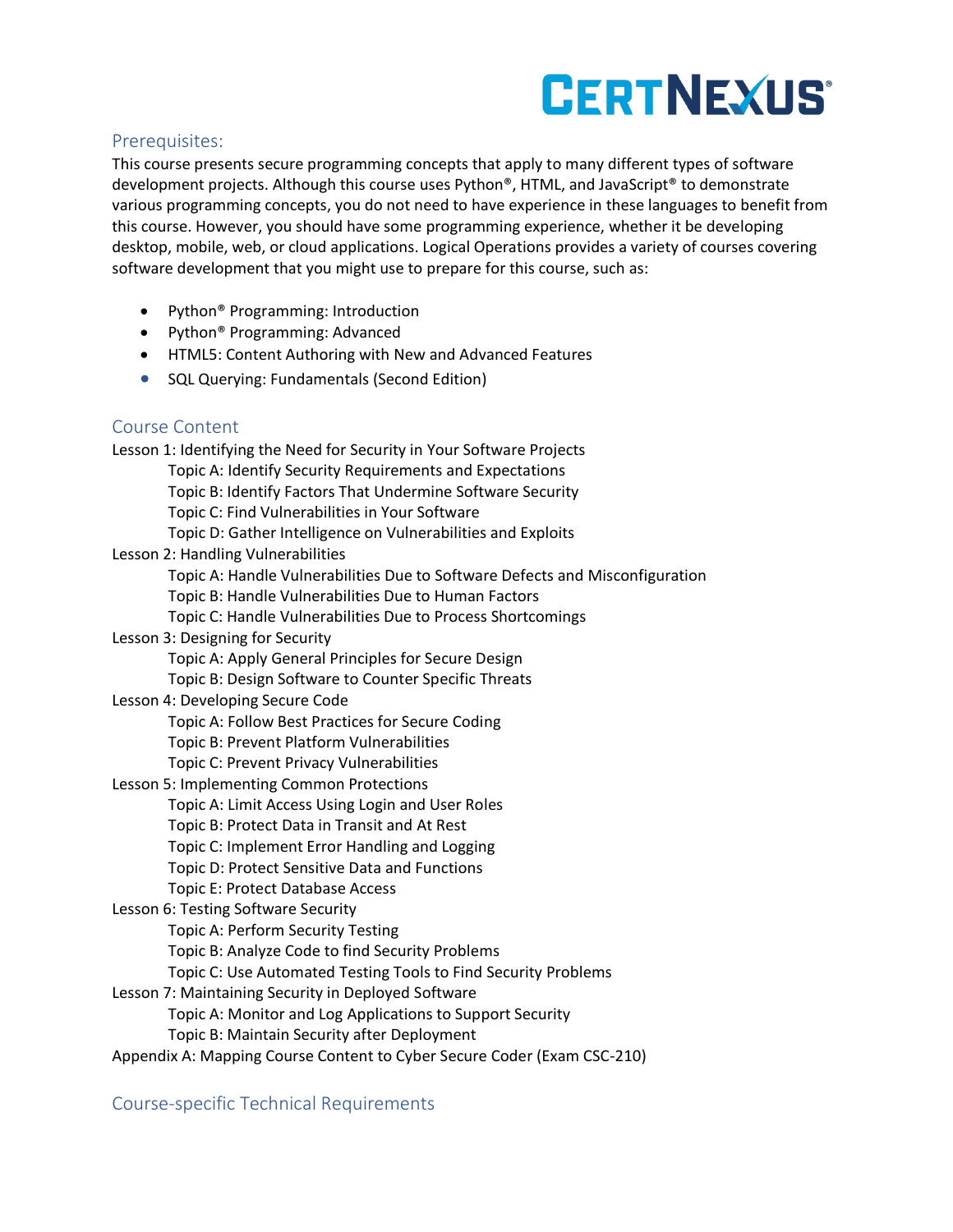# **CERTNEXUS®**

#### Prerequisites:

This course presents secure programming concepts that apply to many different types of software development projects. Although this course uses Python®, HTML, and JavaScript® to demonstrate various programming concepts, you do not need to have experience in these languages to benefit from this course. However, you should have some programming experience, whether it be developing desktop, mobile, web, or cloud applications. Logical Operations provides a variety of courses covering software development that you might use to prepare for this course, such as:

- Python® Programming: Introduction
- Python® Programming: Advanced
- HTML5: Content Authoring with New and Advanced Features
- SQL Querying: Fundamentals (Second Edition)

### Course Content

Lesson 1: Identifying the Need for Security in Your Software Projects Topic A: Identify Security Requirements and Expectations Topic B: Identify Factors That Undermine Software Security Topic C: Find Vulnerabilities in Your Software Topic D: Gather Intelligence on Vulnerabilities and Exploits Lesson 2: Handling Vulnerabilities Topic A: Handle Vulnerabilities Due to Software Defects and Misconfiguration Topic B: Handle Vulnerabilities Due to Human Factors Topic C: Handle Vulnerabilities Due to Process Shortcomings Lesson 3: Designing for Security Topic A: Apply General Principles for Secure Design Topic B: Design Software to Counter Specific Threats Lesson 4: Developing Secure Code Topic A: Follow Best Practices for Secure Coding Topic B: Prevent Platform Vulnerabilities Topic C: Prevent Privacy Vulnerabilities Lesson 5: Implementing Common Protections Topic A: Limit Access Using Login and User Roles Topic B: Protect Data in Transit and At Rest Topic C: Implement Error Handling and Logging Topic D: Protect Sensitive Data and Functions Topic E: Protect Database Access Lesson 6: Testing Software Security Topic A: Perform Security Testing Topic B: Analyze Code to find Security Problems Topic C: Use Automated Testing Tools to Find Security Problems Lesson 7: Maintaining Security in Deployed Software Topic A: Monitor and Log Applications to Support Security Topic B: Maintain Security after Deployment Appendix A: Mapping Course Content to Cyber Secure Coder (Exam CSC-210)

### Course-specific Technical Requirements